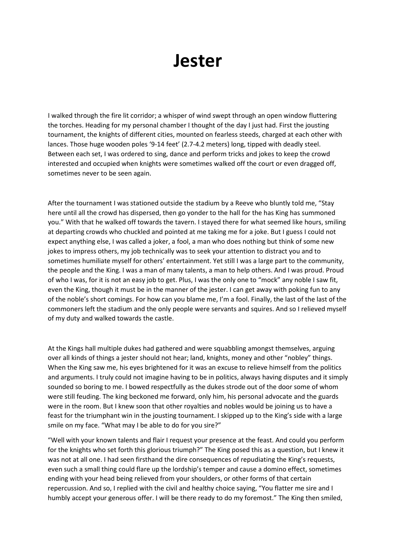## **Jester**

I walked through the fire lit corridor; a whisper of wind swept through an open window fluttering the torches. Heading for my personal chamber I thought of the day I just had. First the jousting tournament, the knights of different cities, mounted on fearless steeds, charged at each other with lances. Those huge wooden poles '9-14 feet' (2.7-4.2 meters) long, tipped with deadly steel. Between each set, I was ordered to sing, dance and perform tricks and jokes to keep the crowd interested and occupied when knights were sometimes walked off the court or even dragged off, sometimes never to be seen again.

After the tournament I was stationed outside the stadium by a Reeve who bluntly told me, "Stay here until all the crowd has dispersed, then go yonder to the hall for the has King has summoned you." With that he walked off towards the tavern. I stayed there for what seemed like hours, smiling at departing crowds who chuckled and pointed at me taking me for a joke. But I guess I could not expect anything else, I was called a joker, a fool, a man who does nothing but think of some new jokes to impress others, my job technically was to seek your attention to distract you and to sometimes humiliate myself for others' entertainment. Yet still I was a large part to the community, the people and the King. I was a man of many talents, a man to help others. And I was proud. Proud of who I was, for it is not an easy job to get. Plus, I was the only one to "mock" any noble I saw fit, even the King, though it must be in the manner of the jester. I can get away with poking fun to any of the noble's short comings. For how can you blame me, I'm a fool. Finally, the last of the last of the commoners left the stadium and the only people were servants and squires. And so I relieved myself of my duty and walked towards the castle.

At the Kings hall multiple dukes had gathered and were squabbling amongst themselves, arguing over all kinds of things a jester should not hear; land, knights, money and other "nobley" things. When the King saw me, his eyes brightened for it was an excuse to relieve himself from the politics and arguments. I truly could not imagine having to be in politics, always having disputes and it simply sounded so boring to me. I bowed respectfully as the dukes strode out of the door some of whom were still feuding. The king beckoned me forward, only him, his personal advocate and the guards were in the room. But I knew soon that other royalties and nobles would be joining us to have a feast for the triumphant win in the jousting tournament. I skipped up to the King's side with a large smile on my face. "What may I be able to do for you sire?"

"Well with your known talents and flair I request your presence at the feast. And could you perform for the knights who set forth this glorious triumph?" The King posed this as a question, but I knew it was not at all one. I had seen firsthand the dire consequences of repudiating the King's requests, even such a small thing could flare up the lordship's temper and cause a domino effect, sometimes ending with your head being relieved from your shoulders, or other forms of that certain repercussion. And so, I replied with the civil and healthy choice saying, "You flatter me sire and I humbly accept your generous offer. I will be there ready to do my foremost." The King then smiled,